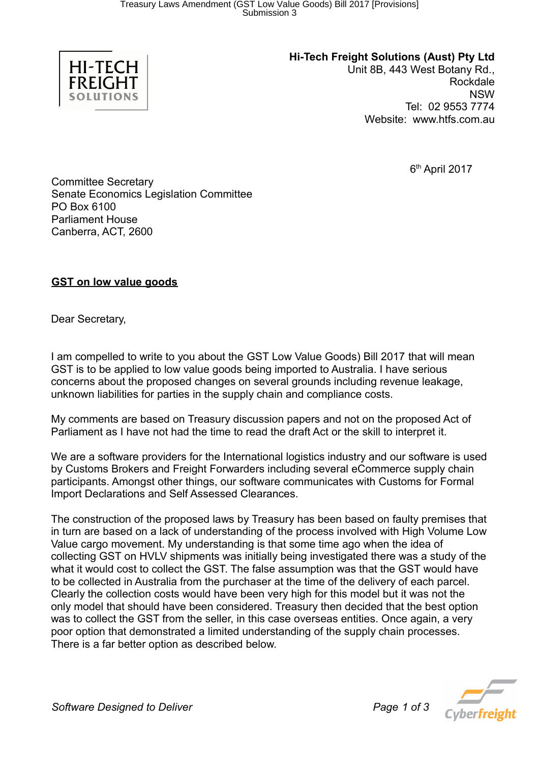

**Hi-Tech Freight Solutions (Aust) Pty Ltd**

Unit 8B, 443 West Botany Rd., Rockdale NSW Tel: 02 9553 7774 Website: www.htfs.com.au

6 th April 2017

Committee Secretary Senate Economics Legislation Committee PO Box 6100 Parliament House Canberra, ACT, 2600

## **GST on low value goods**

Dear Secretary,

I am compelled to write to you about the GST Low Value Goods) Bill 2017 that will mean GST is to be applied to low value goods being imported to Australia. I have serious concerns about the proposed changes on several grounds including revenue leakage, unknown liabilities for parties in the supply chain and compliance costs.

My comments are based on Treasury discussion papers and not on the proposed Act of Parliament as I have not had the time to read the draft Act or the skill to interpret it.

We are a software providers for the International logistics industry and our software is used by Customs Brokers and Freight Forwarders including several eCommerce supply chain participants. Amongst other things, our software communicates with Customs for Formal Import Declarations and Self Assessed Clearances.

The construction of the proposed laws by Treasury has been based on faulty premises that in turn are based on a lack of understanding of the process involved with High Volume Low Value cargo movement. My understanding is that some time ago when the idea of collecting GST on HVLV shipments was initially being investigated there was a study of the what it would cost to collect the GST. The false assumption was that the GST would have to be collected in Australia from the purchaser at the time of the delivery of each parcel. Clearly the collection costs would have been very high for this model but it was not the only model that should have been considered. Treasury then decided that the best option was to collect the GST from the seller, in this case overseas entities. Once again, a very poor option that demonstrated a limited understanding of the supply chain processes. There is a far better option as described below.

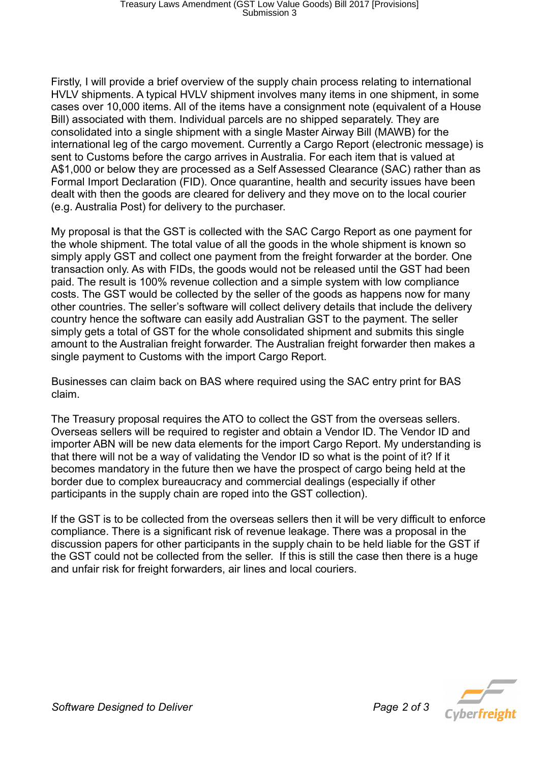Firstly, I will provide a brief overview of the supply chain process relating to international HVLV shipments. A typical HVLV shipment involves many items in one shipment, in some cases over 10,000 items. All of the items have a consignment note (equivalent of a House Bill) associated with them. Individual parcels are no shipped separately. They are consolidated into a single shipment with a single Master Airway Bill (MAWB) for the international leg of the cargo movement. Currently a Cargo Report (electronic message) is sent to Customs before the cargo arrives in Australia. For each item that is valued at A\$1,000 or below they are processed as a Self Assessed Clearance (SAC) rather than as Formal Import Declaration (FID). Once quarantine, health and security issues have been dealt with then the goods are cleared for delivery and they move on to the local courier (e.g. Australia Post) for delivery to the purchaser.

My proposal is that the GST is collected with the SAC Cargo Report as one payment for the whole shipment. The total value of all the goods in the whole shipment is known so simply apply GST and collect one payment from the freight forwarder at the border. One transaction only. As with FIDs, the goods would not be released until the GST had been paid. The result is 100% revenue collection and a simple system with low compliance costs. The GST would be collected by the seller of the goods as happens now for many other countries. The seller's software will collect delivery details that include the delivery country hence the software can easily add Australian GST to the payment. The seller simply gets a total of GST for the whole consolidated shipment and submits this single amount to the Australian freight forwarder. The Australian freight forwarder then makes a single payment to Customs with the import Cargo Report.

Businesses can claim back on BAS where required using the SAC entry print for BAS claim.

The Treasury proposal requires the ATO to collect the GST from the overseas sellers. Overseas sellers will be required to register and obtain a Vendor ID. The Vendor ID and importer ABN will be new data elements for the import Cargo Report. My understanding is that there will not be a way of validating the Vendor ID so what is the point of it? If it becomes mandatory in the future then we have the prospect of cargo being held at the border due to complex bureaucracy and commercial dealings (especially if other participants in the supply chain are roped into the GST collection).

If the GST is to be collected from the overseas sellers then it will be very difficult to enforce compliance. There is a significant risk of revenue leakage. There was a proposal in the discussion papers for other participants in the supply chain to be held liable for the GST if the GST could not be collected from the seller. If this is still the case then there is a huge and unfair risk for freight forwarders, air lines and local couriers.